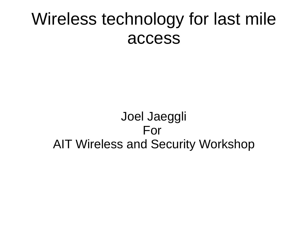#### Wireless technology for last mile access

#### Joel Jaeggli For AIT Wireless and Security Workshop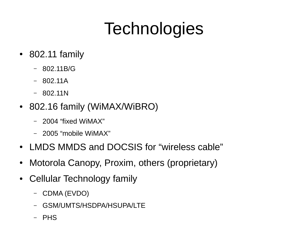## **Technologies**

- $\cdot$  802.11 family
	- 802.11B/G
	- $-802.11A$
	- 802.11N
- 802.16 family (WiMAX/WiBRO)
	- 2004 "fixed WiMAX"
	- 2005 "mobile WiMAX"
- LMDS MMDS and DOCSIS for "wireless cable"
- Motorola Canopy, Proxim, others (proprietary)
- Cellular Technology family
	- CDMA (EVDO)
	- GSM/UMTS/HSDPA/HSUPA/LTE
	- PHS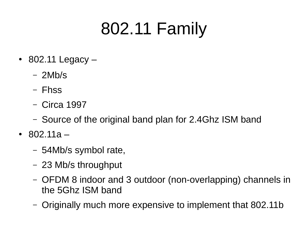#### 802.11 Family

- $\cdot$  802.11 Legacy
	- 2Mb/s
	- Fhss
	- Circa 1997
	- Source of the original band plan for 2.4Ghz ISM band
- 802.11a
	- 54Mb/s symbol rate,
	- 23 Mb/s throughput
	- OFDM 8 indoor and 3 outdoor (non-overlapping) channels in the 5Ghz ISM band
	- Originally much more expensive to implement that 802.11b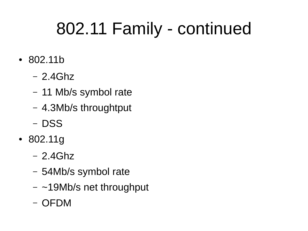## 802.11 Family - continued

- 802.11b
	- 2.4Ghz
	- 11 Mb/s symbol rate
	- 4.3Mb/s throughtput
	- DSS
- 802.11g
	- 2.4Ghz
	- 54Mb/s symbol rate
	- $-$  ~19Mb/s net throughput
	- OFDM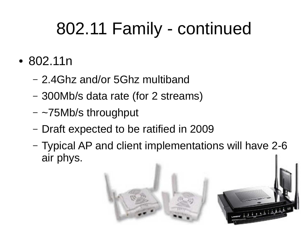## 802.11 Family - continued

- 802.11n
	- 2.4Ghz and/or 5Ghz multiband
	- 300Mb/s data rate (for 2 streams)
	- ~75Mb/s throughput
	- Draft expected to be ratified in 2009
	- Typical AP and client implementations will have 2-6 air phys.

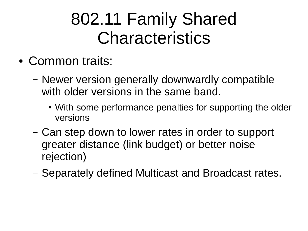#### 802.11 Family Shared Characteristics

- Common traits:
	- Newer version generally downwardly compatible with older versions in the same band.
		- With some performance penalties for supporting the older versions
	- Can step down to lower rates in order to support greater distance (link budget) or better noise rejection)
	- Separately defined Multicast and Broadcast rates.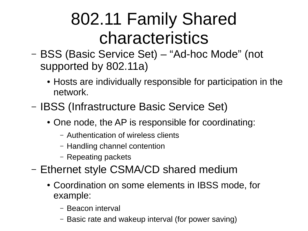#### 802.11 Family Shared characteristics

- BSS (Basic Service Set) "Ad-hoc Mode" (not supported by 802.11a)
	- Hosts are individually responsible for participation in the network.
- IBSS (Infrastructure Basic Service Set)
	- One node, the AP is responsible for coordinating:
		- Authentication of wireless clients
		- Handling channel contention
		- Repeating packets
- Ethernet style CSMA/CD shared medium
	- Coordination on some elements in IBSS mode, for example:
		- Beacon interval
		- Basic rate and wakeup interval (for power saving)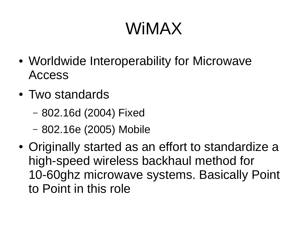#### WiMAX

- Worldwide Interoperability for Microwave Access
- Two standards
	- 802.16d (2004) Fixed
	- 802.16e (2005) Mobile
- Originally started as an effort to standardize a high-speed wireless backhaul method for 10-60ghz microwave systems. Basically Point to Point in this role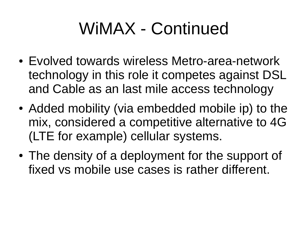#### WiMAX - Continued

- Evolved towards wireless Metro-area-network technology in this role it competes against DSL and Cable as an last mile access technology
- Added mobility (via embedded mobile ip) to the mix, considered a competitive alternative to 4G (LTE for example) cellular systems.
- The density of a deployment for the support of fixed vs mobile use cases is rather different.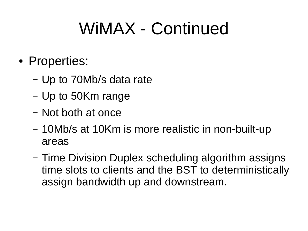#### WIMAX - Continued

- Properties:
	- Up to 70Mb/s data rate
	- Up to 50Km range
	- Not both at once
	- 10Mb/s at 10Km is more realistic in non-built-up areas
	- Time Division Duplex scheduling algorithm assigns time slots to clients and the BST to deterministically assign bandwidth up and downstream.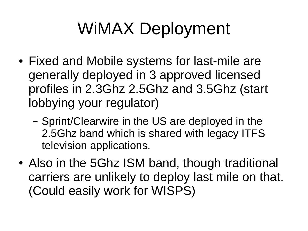# WiMAX Deployment

- Fixed and Mobile systems for last-mile are generally deployed in 3 approved licensed profiles in 2.3Ghz 2.5Ghz and 3.5Ghz (start lobbying your regulator)
	- Sprint/Clearwire in the US are deployed in the 2.5Ghz band which is shared with legacy ITFS television applications.
- Also in the 5Ghz ISM band, though traditional carriers are unlikely to deploy last mile on that. (Could easily work for WISPS)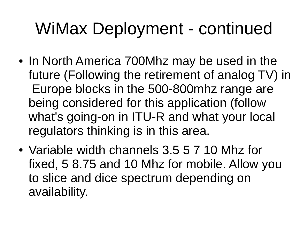## WiMax Deployment - continued

- In North America 700Mhz may be used in the future (Following the retirement of analog TV) in Europe blocks in the 500-800mhz range are being considered for this application (follow what's going-on in ITU-R and what your local regulators thinking is in this area.
- Variable width channels 3.5 5 7 10 Mhz for fixed, 5 8.75 and 10 Mhz for mobile. Allow you to slice and dice spectrum depending on availability.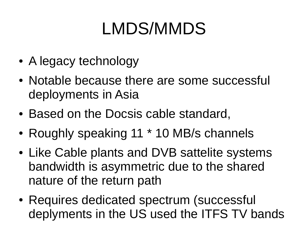#### LMDS/MMDS

- A legacy technology
- Notable because there are some successful deployments in Asia
- Based on the Docsis cable standard,
- Roughly speaking  $11 * 10$  MB/s channels
- Like Cable plants and DVB sattelite systems bandwidth is asymmetric due to the shared nature of the return path
- Requires dedicated spectrum (successful deplyments in the US used the ITFS TV bands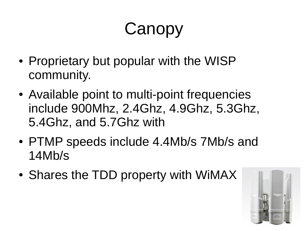## Canopy

- Proprietary but popular with the WISP community.
- Available point to multi-point frequencies include 900Mhz, 2.4Ghz, 4.9Ghz, 5.3Ghz, 5.4Ghz, and 5.7Ghz with
- PTMP speeds include 4.4Mb/s 7Mb/s and 14Mb/s
- Shares the TDD property with WiMAX

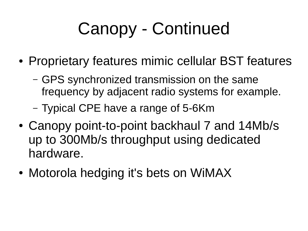# Canopy - Continued

- Proprietary features mimic cellular BST features
	- GPS synchronized transmission on the same frequency by adjacent radio systems for example.
	- Typical CPE have a range of 5-6Km
- Canopy point-to-point backhaul 7 and 14Mb/s up to 300Mb/s throughput using dedicated hardware.
- Motorola hedging it's bets on WiMAX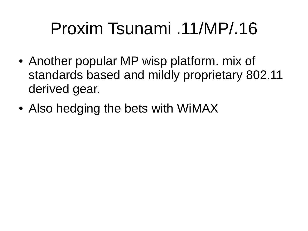#### Proxim Tsunami .11/MP/.16

- Another popular MP wisp platform. mix of standards based and mildly proprietary 802.11 derived gear.
- Also hedging the bets with WiMAX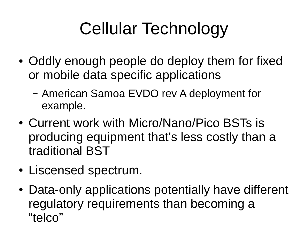# Cellular Technology

- Oddly enough people do deploy them for fixed or mobile data specific applications
	- American Samoa EVDO rev A deployment for example.
- Current work with Micro/Nano/Pico BSTs is producing equipment that's less costly than a traditional BST
- Liscensed spectrum.
- Data-only applications potentially have different regulatory requirements than becoming a "telco"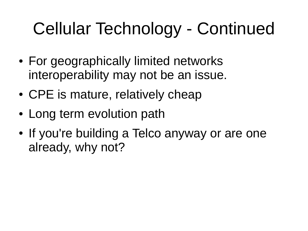# Cellular Technology - Continued

- For geographically limited networks interoperability may not be an issue.
- CPE is mature, relatively cheap
- Long term evolution path
- If you're building a Telco anyway or are one already, why not?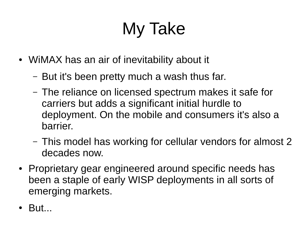# My Take

- WiMAX has an air of inevitability about it
	- But it's been pretty much a wash thus far.
	- The reliance on licensed spectrum makes it safe for carriers but adds a significant initial hurdle to deployment. On the mobile and consumers it's also a barrier.
	- This model has working for cellular vendors for almost 2 decades now.
- Proprietary gear engineered around specific needs has been a staple of early WISP deployments in all sorts of emerging markets.
- But...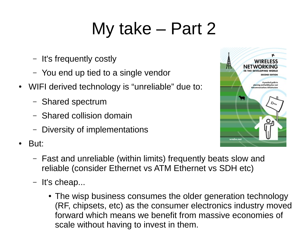## My take – Part 2

- It's frequently costly
- You end up tied to a single vendor
- WIFI derived technology is "unreliable" due to:
	- Shared spectrum
	- Shared collision domain
	- Diversity of implementations
- But:



- Fast and unreliable (within limits) frequently beats slow and reliable (consider Ethernet vs ATM Ethernet vs SDH etc)
- It's cheap...
	- The wisp business consumes the older generation technology (RF, chipsets, etc) as the consumer electronics industry moved forward which means we benefit from massive economies of scale without having to invest in them.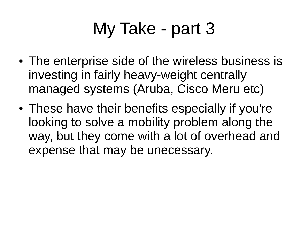## My Take - part 3

- The enterprise side of the wireless business is investing in fairly heavy-weight centrally managed systems (Aruba, Cisco Meru etc)
- These have their benefits especially if you're looking to solve a mobility problem along the way, but they come with a lot of overhead and expense that may be unecessary.